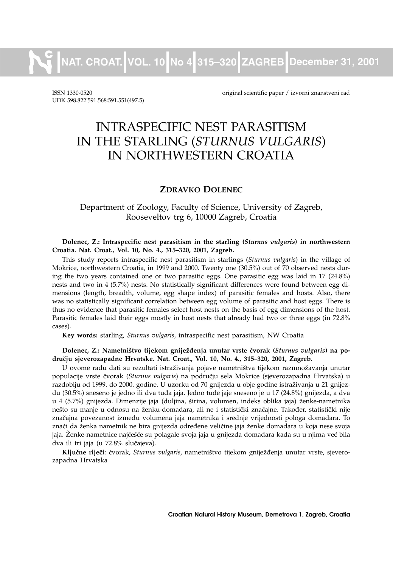**NAT. CROAT. VOL. 10 No 4 315–320 ZAGREB December 31, 2001**

UDK 598.822. 591.568:591.551(497.5)

ISSN 1330-0520 original scientific paper / izvorni znanstveni rad

# INTRASPECIFIC NEST PARASITISM IN THE STARLING (*STURNUS VULGARIS*) IN NORTHWESTERN CROATIA

#### **ZDRAVKO DOLENEC**

## Department of Zoology, Faculty of Science, University of Zagreb, Rooseveltov trg 6, 10000 Zagreb, Croatia

#### **Dolenec, Z.: Intraspecific nest parasitism in the starling (***Sturnus vulgaris***) in northwestern Croatia. Nat. Croat., Vol. 10, No. 4., 315–320, 2001, Zagreb.**

This study reports intraspecific nest parasitism in starlings (*Sturnus vulgaris*) in the village of Mokrice, northwestern Croatia, in 1999 and 2000. Twenty one (30.5%) out of 70 observed nests during the two years contained one or two parasitic eggs. One parasitic egg was laid in 17 (24.8%) nests and two in 4 (5.7%) nests. No statistically significant differences were found between egg dimensions (length, breadth, volume, egg shape index) of parasitic females and hosts. Also, there was no statistically significant correlation between egg volume of parasitic and host eggs. There is thus no evidence that parasitic females select host nests on the basis of egg dimensions of the host. Parasitic females laid their eggs mostly in host nests that already had two or three eggs (in 72.8% cases).

**Key words:** starling, *Sturnus vulgaris*, intraspecific nest parasitism, NW Croatia

#### Dolenec, Z.: Nametništvo tijekom gniježđenja unutar vrste čvorak (*Sturnus vulgaris*) na po**dru~ju sjeverozapadne Hrvatske. Nat. Croat., Vol. 10, No. 4., 315–320, 2001, Zagreb.**

U ovome radu dati su rezultati istraživanja pojave nametništva tijekom razmnožavanja unutar populacije vrste čvorak (*Sturnus vulgaris*) na području sela Mokrice (sjeverozapadna Hrvatska) u razdoblju od 1999. do 2000. godine. U uzorku od 70 gnijezda u obje godine istraživanja u 21 gnijezdu (30.5%) sneseno je jedno ili dva tuđa jaja. Jedno tuđe jaje sneseno je u 17 (24.8%) gnijezda, a dva u 4 (5.7%) gnijezda. Dimenzije jaja (duljina, širina, volumen, indeks oblika jaja) ženke-nametnika nešto su manje u odnosu na ženku-domadara, ali ne i statistički značajne. Također, statistički nije značajna povezanost između volumena jaja nametnika i srednje vrijednosti pologa domadara. To znači da ženka nametnik ne bira gnijezda određene veličine jaja ženke domadara u koja nese svoja jaja. Ženke-nametnice najčešće su polagale svoja jaja u gnijezda domadara kada su u njima već bila dva ili tri jaja (u 72.8% slučajeva).

Ključne riječi: čvorak, *Sturnus vulgaris*, nametništvo tijekom gniježđenja unutar vrste, sjeverozapadna Hrvatska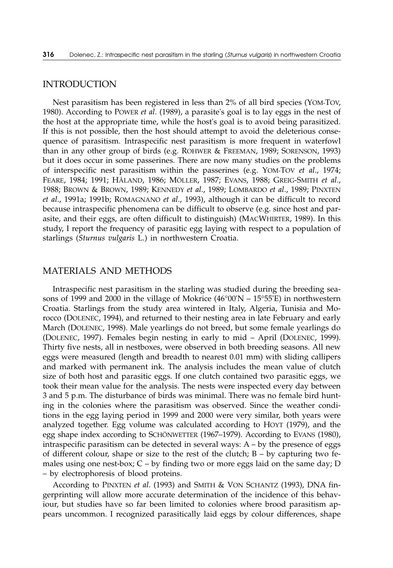#### INTRODUCTION

Nest parasitism has been registered in less than 2% of all bird species (YOM-TOV, 1980). According to POWER *et al*. (1989), a parasite's goal is to lay eggs in the nest of the host at the appropriate time, while the host's goal is to avoid being parasitized. If this is not possible, then the host should attempt to avoid the deleterious consequence of parasitism. Intraspecific nest parasitism is more frequent in waterfowl than in any other group of birds (e.g. ROHWER & FREEMAN, 1989; SORENSON, 1993) but it does occur in some passerines. There are now many studies on the problems of interspecific nest parasitism within the passerines (e.g. YOM-TOV *et al*., 1974; FEARE, 1984; 1991; HÅLAND, 1986; MÖLLER, 1987; EVANS, 1988; GREIG-SMITH *et al*., 1988; BROWN & BROWN, 1989; KENNEDY *et al*., 1989; LOMBARDO *et al*., 1989; PINXTEN *et al*., 1991a; 1991b; ROMAGNANO *et al*., 1993), although it can be difficult to record because intraspecific phenomena can be difficult to observe (e.g. since host and parasite, and their eggs, are often difficult to distinguish) (MACWHIRTER, 1989). In this study, I report the frequency of parasitic egg laying with respect to a population of starlings (*Sturnus vulgaris* L.) in northwestern Croatia.

### MATERIALS AND METHODS

Intraspecific nest parasitism in the starling was studied during the breeding seasons of 1999 and 2000 in the village of Mokrice  $(46^{\circ}00'N - 15^{\circ}55'E)$  in northwestern Croatia. Starlings from the study area wintered in Italy, Algeria, Tunisia and Morocco (DOLENEC, 1994), and returned to their nesting area in late February and early March (DOLENEC, 1998). Male yearlings do not breed, but some female yearlings do (DOLENEC, 1997). Females begin nesting in early to mid – April (DOLENEC, 1999). Thirty five nests, all in nestboxes, were observed in both breeding seasons. All new eggs were measured (length and breadth to nearest 0.01 mm) with sliding callipers and marked with permanent ink. The analysis includes the mean value of clutch size of both host and parasitic eggs. If one clutch contained two parasitic eggs, we took their mean value for the analysis. The nests were inspected every day between 3 and 5 p.m. The disturbance of birds was minimal. There was no female bird hunting in the colonies where the parasitism was observed. Since the weather conditions in the egg laying period in 1999 and 2000 were very similar, both years were analyzed together. Egg volume was calculated according to HOYT (1979), and the egg shape index according to SCHÖNWETTER (1967–1979). According to EVANS (1980), intraspecific parasitism can be detected in several ways:  $A - by$  the presence of eggs of different colour, shape or size to the rest of the clutch;  $B - by$  capturing two females using one nest-box;  $C - by$  finding two or more eggs laid on the same day;  $D$ – by electrophoresis of blood proteins.

According to PINXTEN *et al*. (1993) and SMITH & VON SCHANTZ (1993), DNA fingerprinting will allow more accurate determination of the incidence of this behaviour, but studies have so far been limited to colonies where brood parasitism appears uncommon. I recognized parasitically laid eggs by colour differences, shape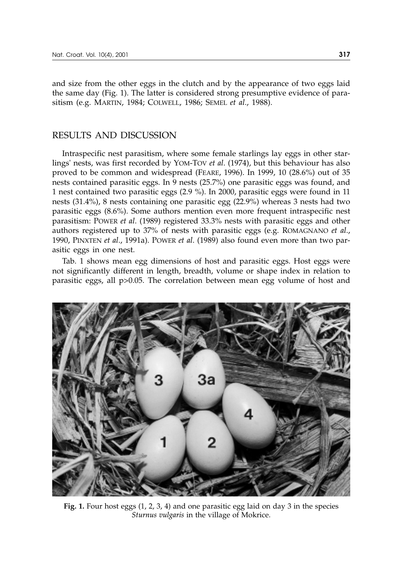and size from the other eggs in the clutch and by the appearance of two eggs laid the same day (Fig. 1). The latter is considered strong presumptive evidence of parasitism (e.g. MARTIN, 1984; COLWELL, 1986; SEMEL *et al*., 1988).

### RESULTS AND DISCUSSION

Intraspecific nest parasitism, where some female starlings lay eggs in other starlings' nests, was first recorded by YOM-TOV *et al*. (1974), but this behaviour has also proved to be common and widespread (FEARE, 1996). In 1999, 10 (28.6%) out of 35 nests contained parasitic eggs. In 9 nests (25.7%) one parasitic eggs was found, and 1 nest contained two parasitic eggs (2.9 %). In 2000, parasitic eggs were found in 11 nests (31.4%), 8 nests containing one parasitic egg (22.9%) whereas 3 nests had two parasitic eggs (8.6%). Some authors mention even more frequent intraspecific nest parasitism: POWER *et al*. (1989) registered 33.3% nests with parasitic eggs and other authors registered up to 37% of nests with parasitic eggs (e.g. ROMAGNANO *et al*., 1990, PINXTEN *et al*., 1991a). POWER *et al*. (1989) also found even more than two parasitic eggs in one nest.

Tab. 1 shows mean egg dimensions of host and parasitic eggs. Host eggs were not significantly different in length, breadth, volume or shape index in relation to parasitic eggs, all p>0.05. The correlation between mean egg volume of host and



**Fig. 1.** Four host eggs (1, 2, 3, 4) and one parasitic egg laid on day 3 in the species *Sturnus vulgaris* in the village of Mokrice.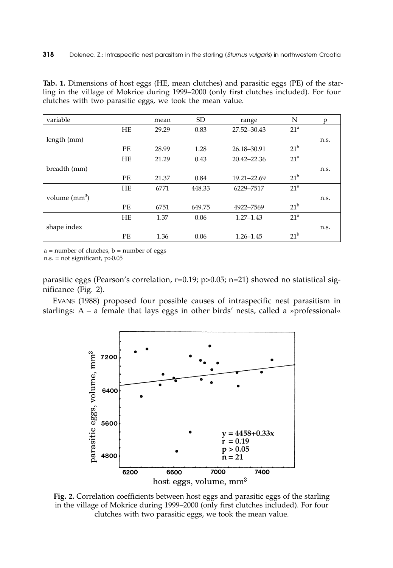**Tab. 1.** Dimensions of host eggs (HE, mean clutches) and parasitic eggs (PE) of the starling in the village of Mokrice during 1999–2000 (only first clutches included). For four clutches with two parasitic eggs, we took the mean value.

| variable        |           | mean  | <b>SD</b> | range         | N               | p    |
|-----------------|-----------|-------|-----------|---------------|-----------------|------|
|                 | HE        | 29.29 | 0.83      | 27.52-30.43   | 21 <sup>a</sup> |      |
| length (mm)     |           |       |           |               |                 | n.s. |
|                 | PE        | 28.99 | 1.28      | 26.18-30.91   | $21^{\rm b}$    |      |
|                 | <b>HE</b> | 21.29 | 0.43      | 20.42-22.36   | 21 <sup>a</sup> |      |
| breadth (mm)    |           |       |           |               |                 | n.s. |
|                 | PE        | 21.37 | 0.84      | 19.21-22.69   | $21^{\rm b}$    |      |
|                 | HE        | 6771  | 448.33    | 6229-7517     | 21 <sup>a</sup> |      |
| volume $(mm^3)$ |           |       |           |               |                 | n.s. |
|                 | PE.       | 6751  | 649.75    | 4922-7569     | $21^{\rm b}$    |      |
|                 | <b>HE</b> | 1.37  | 0.06      | $1.27 - 1.43$ | 21 <sup>a</sup> |      |
| shape index     |           |       |           |               |                 | n.s. |
|                 | PE        | 1.36  | 0.06      | $1.26 - 1.45$ | $21^{\rm b}$    |      |

 $a = number of clutches$ ,  $b = number of eggs$ 

n.s. = not significant, p>0.05

parasitic eggs (Pearson's correlation, r=0.19; p>0.05; n=21) showed no statistical significance (Fig. 2).

EVANS (1988) proposed four possible causes of intraspecific nest parasitism in starlings:  $A - a$  female that lays eggs in other birds' nests, called a »professional«



**Fig. 2.** Correlation coefficients between host eggs and parasitic eggs of the starling in the village of Mokrice during 1999–2000 (only first clutches included). For four clutches with two parasitic eggs, we took the mean value.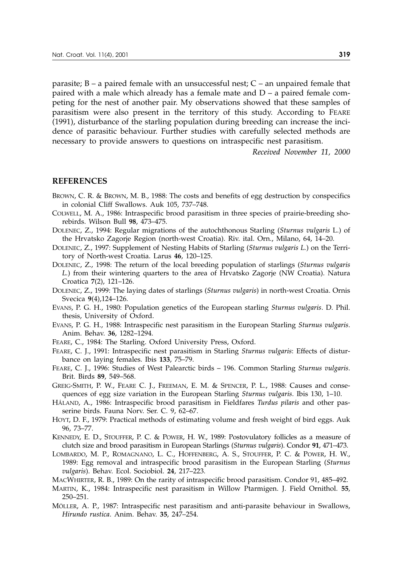parasite;  $B - a$  paired female with an unsuccessful nest;  $C - a$ n unpaired female that paired with a male which already has a female mate and D – a paired female competing for the nest of another pair. My observations showed that these samples of parasitism were also present in the territory of this study. According to FEARE (1991), disturbance of the starling population during breeding can increase the incidence of parasitic behaviour. Further studies with carefully selected methods are necessary to provide answers to questions on intraspecific nest parasitism.

*Received November 11, 2000*

#### **REFERENCES**

- BROWN, C. R. & BROWN, M. B., 1988: The costs and benefits of egg destruction by conspecifics in colonial Cliff Swallows. Auk 105, 737–748.
- COLWELL, M. A., 1986: Intraspecific brood parasitism in three species of prairie-breeding shorebirds. Wilson Bull **98**, 473–475.
- DOLENEC, Z., 1994: Regular migrations of the autochthonous Starling (*Sturnus vulgaris* L.) of the Hrvatsko Zagorje Region (north-west Croatia). Riv. ital. Orn., Milano, 64, 14–20.

DOLENEC, Z., 1997: Supplement of Nesting Habits of Starling (*Sturnus vulgaris L.*) on the Territory of North-west Croatia. Larus **46**, 120–125.

- DOLENEC, Z., 1998: The return of the local breeding population of starlings (*Sturnus vulgaris L.*) from their wintering quarters to the area of Hrvatsko Zagorje (NW Croatia). Natura Croatica **7**(2), 121–126.
- DOLENEC, Z., 1999: The laying dates of starlings (*Sturnus vulgaris*) in north-west Croatia. Ornis Svecica **9**(4),124–126.
- EVANS, P. G. H., 1980: Population genetics of the European starling *Sturnus vulgaris*. D. Phil. thesis, University of Oxford.
- EVANS, P. G. H., 1988: Intraspecific nest parasitism in the European Starling *Sturnus vulgaris*. Anim. Behav. **36**, 1282–1294.
- FEARE, C., 1984: The Starling. Oxford University Press, Oxford.
- FEARE, C. J., 1991: Intraspecific nest parasitism in Starling *Sturnus vulgaris*: Effects of disturbance on laying females. Ibis **133**, 75–79.
- FEARE, C. J., 1996: Studies of West Palearctic birds 196. Common Starling *Sturnus vulgaris*. Brit. Birds **89**, 549–568.
- GREIG-SMITH, P. W., FEARE C. J., FREEMAN, E. M. & SPENCER, P. L., 1988: Causes and consequences of egg size variation in the European Starling *Sturnus vulgaris*. Ibis 130, 1–10.
- HÅLAND, A., 1986: Intraspecific brood parasitism in Fieldfares *Turdus pilaris* and other passerine birds. Fauna Norv. Ser. C. 9, 62–67.
- HOYT, D. F., 1979: Practical methods of estimating volume and fresh weight of bird eggs. Auk 96, 73–77.
- KENNEDY, E. D., STOUFFER, P. C. & POWER, H. W., 1989: Postovulatory follicles as a measure of clutch size and brood parasitism in European Starlings (*Sturnus vulgaris*). Condor **91**, 471–473.
- LOMBARDO, M. P., ROMAGNANO, L. C., HOFFENBERG, A. S., STOUFFER, P. C. & POWER, H. W., 1989: Egg removal and intraspecific brood parasitism in the European Starling (*Sturnus vulgaris*). Behav. Ecol. Sociobiol. **24**, 217–223.
- MACWHIRTER, R. B., 1989: On the rarity of intraspecific brood parasitism. Condor 91, 485–492.
- MARTIN, K., 1984: Intraspecific nest parasitism in Willow Ptarmigen. J. Field Ornithol. **55**, 250–251.
- MÖLLER, A. P., 1987: Intraspecific nest parasitism and anti-parasite behaviour in Swallows, *Hirundo rustica*. Anim. Behav. **35**, 247–254.